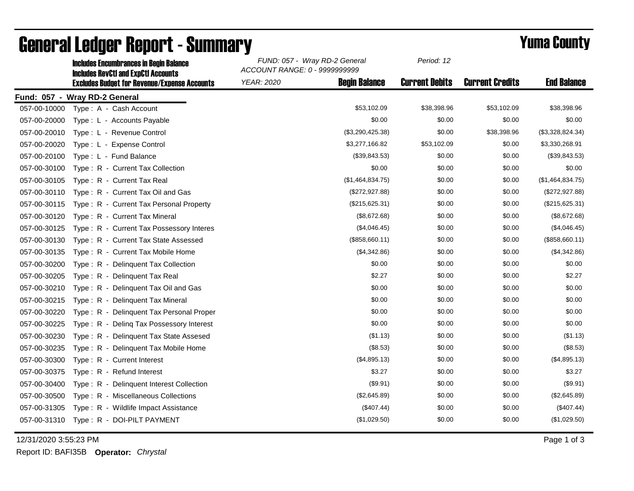|              | <b>Includes Encumbrances in Begin Balance</b><br><b>Includes RevCtI and ExpCtI Accounts</b> | FUND: 057 - Wray RD-2 General<br>ACCOUNT RANGE: 0 - 9999999999 | Period: 12            |                        |                    |
|--------------|---------------------------------------------------------------------------------------------|----------------------------------------------------------------|-----------------------|------------------------|--------------------|
|              | <b>Excludes Budget for Revenue/Expense Accounts</b>                                         | <b>Begin Balance</b><br><b>YEAR: 2020</b>                      | <b>Current Debits</b> | <b>Current Credits</b> | <b>End Balance</b> |
|              | Fund: 057 - Wray RD-2 General                                                               |                                                                |                       |                        |                    |
| 057-00-10000 | Type: A - Cash Account                                                                      | \$53,102.09                                                    | \$38,398.96           | \$53,102.09            | \$38,398.96        |
| 057-00-20000 | Type: L - Accounts Payable                                                                  | \$0.00                                                         | \$0.00                | \$0.00                 | \$0.00             |
| 057-00-20010 | Type: L - Revenue Control                                                                   | (\$3,290,425.38)                                               | \$0.00                | \$38,398.96            | (\$3,328,824.34)   |
| 057-00-20020 | Type: L - Expense Control                                                                   | \$3,277,166.82                                                 | \$53,102.09           | \$0.00                 | \$3,330,268.91     |
| 057-00-20100 | Type: L - Fund Balance                                                                      | (\$39,843.53)                                                  | \$0.00                | \$0.00                 | (\$39,843.53)      |
| 057-00-30100 | Type: R - Current Tax Collection                                                            | \$0.00                                                         | \$0.00                | \$0.00                 | \$0.00             |
| 057-00-30105 | Type: R - Current Tax Real                                                                  | (\$1,464,834.75)                                               | \$0.00                | \$0.00                 | (\$1,464,834.75)   |
| 057-00-30110 | Type: R - Current Tax Oil and Gas                                                           | (\$272,927.88)                                                 | \$0.00                | \$0.00                 | (\$272,927.88)     |
| 057-00-30115 | Type: R - Current Tax Personal Property                                                     | (\$215,625.31)                                                 | \$0.00                | \$0.00                 | (\$215,625.31)     |
| 057-00-30120 | Type: R - Current Tax Mineral                                                               | (\$8,672.68)                                                   | \$0.00                | \$0.00                 | (\$8,672.68)       |
| 057-00-30125 | Type: R - Current Tax Possessory Interes                                                    | (\$4,046.45)                                                   | \$0.00                | \$0.00                 | (\$4,046.45)       |
| 057-00-30130 | Type: R - Current Tax State Assessed                                                        | (\$858,660.11)                                                 | \$0.00                | \$0.00                 | (\$858,660.11)     |
| 057-00-30135 | Type: R - Current Tax Mobile Home                                                           | (\$4,342.86)                                                   | \$0.00                | \$0.00                 | (\$4,342.86)       |
| 057-00-30200 | Type: R - Delinquent Tax Collection                                                         | \$0.00                                                         | \$0.00                | \$0.00                 | \$0.00             |
| 057-00-30205 | Type: R - Delinquent Tax Real                                                               | \$2.27                                                         | \$0.00                | \$0.00                 | \$2.27             |
| 057-00-30210 | Type: R - Delinquent Tax Oil and Gas                                                        | \$0.00                                                         | \$0.00                | \$0.00                 | \$0.00             |
| 057-00-30215 | Type: R - Delinquent Tax Mineral                                                            | \$0.00                                                         | \$0.00                | \$0.00                 | \$0.00             |
| 057-00-30220 | Type: R - Delinquent Tax Personal Proper                                                    | \$0.00                                                         | \$0.00                | \$0.00                 | \$0.00             |
| 057-00-30225 | Type: R - Deling Tax Possessory Interest                                                    | \$0.00                                                         | \$0.00                | \$0.00                 | \$0.00             |
| 057-00-30230 | Type: R - Delinquent Tax State Assesed                                                      | (\$1.13)                                                       | \$0.00                | \$0.00                 | (\$1.13)           |
| 057-00-30235 | Type: R - Delinquent Tax Mobile Home                                                        | (\$8.53)                                                       | \$0.00                | \$0.00                 | (\$8.53)           |
| 057-00-30300 | Type: R - Current Interest                                                                  | (\$4,895.13)                                                   | \$0.00                | \$0.00                 | (\$4,895.13)       |
| 057-00-30375 | Type: R - Refund Interest                                                                   | \$3.27                                                         | \$0.00                | \$0.00                 | \$3.27             |
| 057-00-30400 | Type: R - Delinquent Interest Collection                                                    | (\$9.91)                                                       | \$0.00                | \$0.00                 | (\$9.91)           |
| 057-00-30500 | Type: R - Miscellaneous Collections                                                         | (\$2,645.89)                                                   | \$0.00                | \$0.00                 | (\$2,645.89)       |
| 057-00-31305 | Type: R - Wildlife Impact Assistance                                                        | (\$407.44)                                                     | \$0.00                | \$0.00                 | (\$407.44)         |
| 057-00-31310 | Type: R - DOI-PILT PAYMENT                                                                  | (\$1,029.50)                                                   | \$0.00                | \$0.00                 | (\$1,029.50)       |

## General Ledger Report - Summary **Example 2018** Yuma County

12/31/2020 3:55:23 PM Page 1 of 3

Report ID: BAFI35B **Operator:** *Chrystal*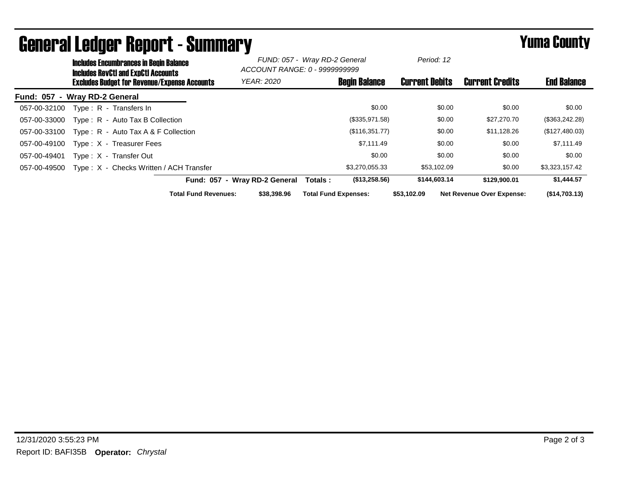|                               | <b>Includes Encumbrances in Begin Balance</b><br><b>Includes RevCtI and ExpCtI Accounts</b><br><b>Excludes Budget for Revenue/Expense Accounts</b> |                                         |                             | FUND: 057 - Wray RD-2 General<br>ACCOUNT RANGE: 0 - 9999999999 |                             | Period: 12           |                       |        |                                  |                    |
|-------------------------------|----------------------------------------------------------------------------------------------------------------------------------------------------|-----------------------------------------|-----------------------------|----------------------------------------------------------------|-----------------------------|----------------------|-----------------------|--------|----------------------------------|--------------------|
|                               |                                                                                                                                                    |                                         |                             | <b>YEAR: 2020</b>                                              |                             | <b>Begin Balance</b> | <b>Current Debits</b> |        | <b>Current Credits</b>           | <b>End Balance</b> |
| Fund: 057 - Wray RD-2 General |                                                                                                                                                    |                                         |                             |                                                                |                             |                      |                       |        |                                  |                    |
| 057-00-32100                  |                                                                                                                                                    | Type: R - Transfers In                  |                             |                                                                |                             | \$0.00               |                       | \$0.00 | \$0.00                           | \$0.00             |
| 057-00-33000                  |                                                                                                                                                    | Type: R - Auto Tax B Collection         |                             |                                                                |                             | (\$335,971.58)       |                       | \$0.00 | \$27,270.70                      | (\$363,242.28)     |
| 057-00-33100                  |                                                                                                                                                    | Type: R - Auto Tax A & F Collection     |                             |                                                                |                             | (\$116,351.77)       |                       | \$0.00 | \$11,128.26                      | (\$127,480.03)     |
| 057-00-49100                  |                                                                                                                                                    | Type: X - Treasurer Fees                |                             |                                                                |                             | \$7,111.49           |                       | \$0.00 | \$0.00                           | \$7,111.49         |
| 057-00-49401                  |                                                                                                                                                    | Type: X - Transfer Out                  |                             |                                                                |                             | \$0.00               |                       | \$0.00 | \$0.00                           | \$0.00             |
| 057-00-49500                  |                                                                                                                                                    | Type: X - Checks Written / ACH Transfer |                             |                                                                |                             | \$3,270,055.33       | \$53,102.09           |        | \$0.00                           | \$3,323,157.42     |
|                               |                                                                                                                                                    |                                         |                             | Fund: 057 - Wray RD-2 General                                  | Totals :                    | (\$13,258.56)        | \$144,603.14          |        | \$129,900.01                     | \$1,444.57         |
|                               |                                                                                                                                                    |                                         | <b>Total Fund Revenues:</b> | \$38,398.96                                                    | <b>Total Fund Expenses:</b> |                      | \$53.102.09           |        | <b>Net Revenue Over Expense:</b> | (S14,703.13)       |

## General Ledger Report - Summary **Example 2018** Yuma County